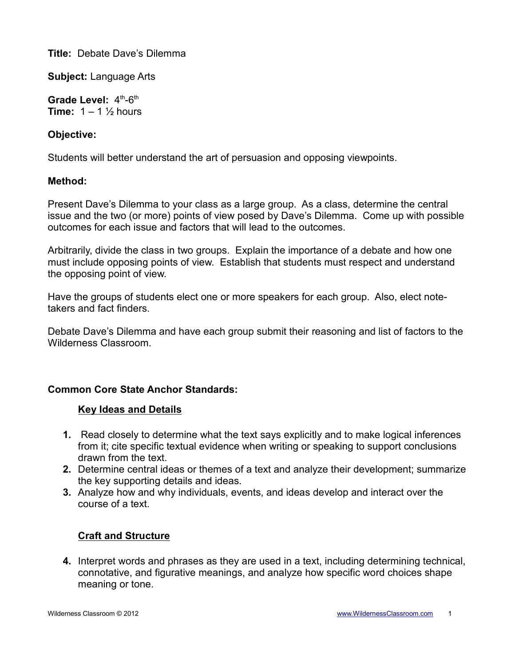**Title:** Debate Dave's Dilemma

**Subject:** Language Arts

Grade Level:  $4<sup>th</sup>-6<sup>th</sup>$ **Time:**  $1 - 1\frac{1}{2}$  hours

## **Objective:**

Students will better understand the art of persuasion and opposing viewpoints.

## **Method:**

Present Dave's Dilemma to your class as a large group. As a class, determine the central issue and the two (or more) points of view posed by Dave's Dilemma. Come up with possible outcomes for each issue and factors that will lead to the outcomes.

Arbitrarily, divide the class in two groups. Explain the importance of a debate and how one must include opposing points of view. Establish that students must respect and understand the opposing point of view.

Have the groups of students elect one or more speakers for each group. Also, elect notetakers and fact finders.

Debate Dave's Dilemma and have each group submit their reasoning and list of factors to the Wilderness Classroom.

# **Common Core State Anchor Standards:**

## **Key Ideas and Details**

- **1.** Read closely to determine what the text says explicitly and to make logical inferences from it; cite specific textual evidence when writing or speaking to support conclusions drawn from the text.
- **2.** Determine central ideas or themes of a text and analyze their development; summarize the key supporting details and ideas.
- **3.** Analyze how and why individuals, events, and ideas develop and interact over the course of a text.

# **Craft and Structure**

**4.** Interpret words and phrases as they are used in a text, including determining technical, connotative, and figurative meanings, and analyze how specific word choices shape meaning or tone.